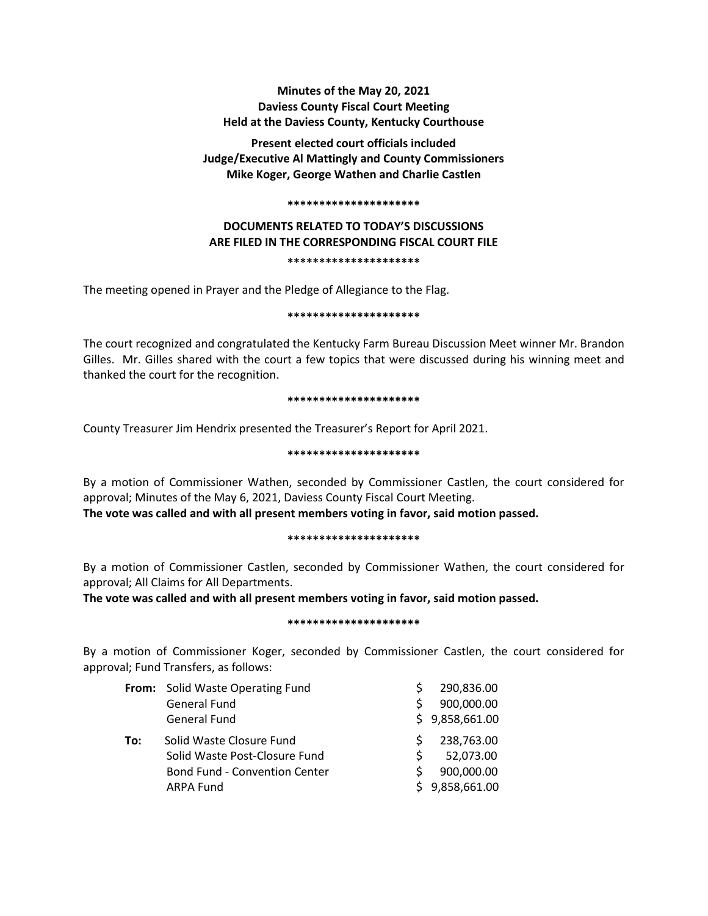# **Minutes of the May 20, 2021 Daviess County Fiscal Court Meeting Held at the Daviess County, Kentucky Courthouse**

**Present elected court officials included Judge/Executive Al Mattingly and County Commissioners Mike Koger, George Wathen and Charlie Castlen**

#### **\*\*\*\*\*\*\*\*\*\*\*\*\*\*\*\*\*\*\*\*\***

# **DOCUMENTS RELATED TO TODAY'S DISCUSSIONS ARE FILED IN THE CORRESPONDING FISCAL COURT FILE**

# **\*\*\*\*\*\*\*\*\*\*\*\*\*\*\*\*\*\*\*\*\***

The meeting opened in Prayer and the Pledge of Allegiance to the Flag.

#### **\*\*\*\*\*\*\*\*\*\*\*\*\*\*\*\*\*\*\*\*\***

The court recognized and congratulated the Kentucky Farm Bureau Discussion Meet winner Mr. Brandon Gilles. Mr. Gilles shared with the court a few topics that were discussed during his winning meet and thanked the court for the recognition.

#### **\*\*\*\*\*\*\*\*\*\*\*\*\*\*\*\*\*\*\*\*\***

County Treasurer Jim Hendrix presented the Treasurer's Report for April 2021.

#### **\*\*\*\*\*\*\*\*\*\*\*\*\*\*\*\*\*\*\*\*\***

By a motion of Commissioner Wathen, seconded by Commissioner Castlen, the court considered for approval; Minutes of the May 6, 2021, Daviess County Fiscal Court Meeting. **The vote was called and with all present members voting in favor, said motion passed.** 

#### **\*\*\*\*\*\*\*\*\*\*\*\*\*\*\*\*\*\*\*\*\***

By a motion of Commissioner Castlen, seconded by Commissioner Wathen, the court considered for approval; All Claims for All Departments.

**The vote was called and with all present members voting in favor, said motion passed.** 

#### **\*\*\*\*\*\*\*\*\*\*\*\*\*\*\*\*\*\*\*\*\***

By a motion of Commissioner Koger, seconded by Commissioner Castlen, the court considered for approval; Fund Transfers, as follows:

|     | From: Solid Waste Operating Fund     |    | 290,836.00     |
|-----|--------------------------------------|----|----------------|
|     | <b>General Fund</b>                  | S  | 900,000.00     |
|     | <b>General Fund</b>                  |    | \$9,858,661.00 |
| To: | Solid Waste Closure Fund             | S  | 238,763.00     |
|     | Solid Waste Post-Closure Fund        | S  | 52,073.00      |
|     | <b>Bond Fund - Convention Center</b> | S. | 900,000.00     |
|     | <b>ARPA Fund</b>                     |    | \$9,858,661.00 |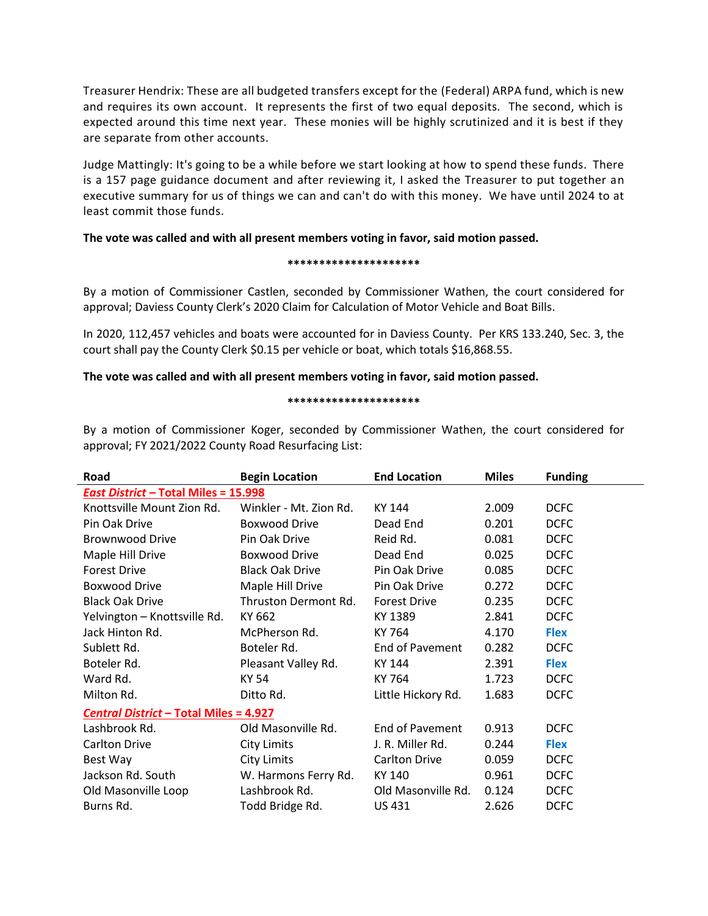Treasurer Hendrix: These are all budgeted transfers except for the (Federal) ARPA fund, which is new and requires its own account. It represents the first of two equal deposits. The second, which is expected around this time next year. These monies will be highly scrutinized and it is best if they are separate from other accounts.

Judge Mattingly: It's going to be a while before we start looking at how to spend these funds. There is a 157 page guidance document and after reviewing it, I asked the Treasurer to put together an executive summary for us of things we can and can't do with this money. We have until 2024 to at least commit those funds.

## **The vote was called and with all present members voting in favor, said motion passed.**

#### **\*\*\*\*\*\*\*\*\*\*\*\*\*\*\*\*\*\*\*\*\***

By a motion of Commissioner Castlen, seconded by Commissioner Wathen, the court considered for approval; Daviess County Clerk's 2020 Claim for Calculation of Motor Vehicle and Boat Bills.

In 2020, 112,457 vehicles and boats were accounted for in Daviess County. Per KRS 133.240, Sec. 3, the court shall pay the County Clerk \$0.15 per vehicle or boat, which totals \$16,868.55.

## **The vote was called and with all present members voting in favor, said motion passed.**

#### **\*\*\*\*\*\*\*\*\*\*\*\*\*\*\*\*\*\*\*\*\***

By a motion of Commissioner Koger, seconded by Commissioner Wathen, the court considered for approval; FY 2021/2022 County Road Resurfacing List:

| Road                                          | <b>Begin Location</b>  | <b>End Location</b>    | <b>Miles</b> | <b>Funding</b> |  |  |
|-----------------------------------------------|------------------------|------------------------|--------------|----------------|--|--|
| <b>East District - Total Miles = 15.998</b>   |                        |                        |              |                |  |  |
| Knottsville Mount Zion Rd.                    | Winkler - Mt. Zion Rd. | KY 144                 | 2.009        | <b>DCFC</b>    |  |  |
| Pin Oak Drive                                 | <b>Boxwood Drive</b>   | Dead End               | 0.201        | <b>DCFC</b>    |  |  |
| <b>Brownwood Drive</b>                        | Pin Oak Drive          | Reid Rd.               | 0.081        | <b>DCFC</b>    |  |  |
| Maple Hill Drive                              | <b>Boxwood Drive</b>   | Dead End               | 0.025        | <b>DCFC</b>    |  |  |
| <b>Forest Drive</b>                           | <b>Black Oak Drive</b> | Pin Oak Drive          | 0.085        | <b>DCFC</b>    |  |  |
| <b>Boxwood Drive</b>                          | Maple Hill Drive       | Pin Oak Drive          | 0.272        | <b>DCFC</b>    |  |  |
| <b>Black Oak Drive</b>                        | Thruston Dermont Rd.   | <b>Forest Drive</b>    | 0.235        | <b>DCFC</b>    |  |  |
| Yelvington - Knottsville Rd.                  | KY 662                 | KY 1389                | 2.841        | <b>DCFC</b>    |  |  |
| Jack Hinton Rd.                               | McPherson Rd.          | KY 764                 | 4.170        | <b>Flex</b>    |  |  |
| Sublett Rd.                                   | Boteler Rd.            | <b>End of Pavement</b> | 0.282        | <b>DCFC</b>    |  |  |
| Boteler Rd.                                   | Pleasant Valley Rd.    | KY 144                 | 2.391        | <b>Flex</b>    |  |  |
| Ward Rd.                                      | KY 54                  | KY 764                 | 1.723        | <b>DCFC</b>    |  |  |
| Milton Rd.                                    | Ditto Rd.              | Little Hickory Rd.     | 1.683        | <b>DCFC</b>    |  |  |
| <b>Central District - Total Miles = 4.927</b> |                        |                        |              |                |  |  |
| Lashbrook Rd.                                 | Old Masonville Rd.     | End of Pavement        | 0.913        | <b>DCFC</b>    |  |  |
| Carlton Drive                                 | <b>City Limits</b>     | J. R. Miller Rd.       | 0.244        | <b>Flex</b>    |  |  |
| Best Way                                      | <b>City Limits</b>     | <b>Carlton Drive</b>   | 0.059        | <b>DCFC</b>    |  |  |
| Jackson Rd. South                             | W. Harmons Ferry Rd.   | KY 140                 | 0.961        | <b>DCFC</b>    |  |  |
| Old Masonville Loop                           | Lashbrook Rd.          | Old Masonville Rd.     | 0.124        | <b>DCFC</b>    |  |  |
| Burns Rd.                                     | Todd Bridge Rd.        | US 431                 | 2.626        | <b>DCFC</b>    |  |  |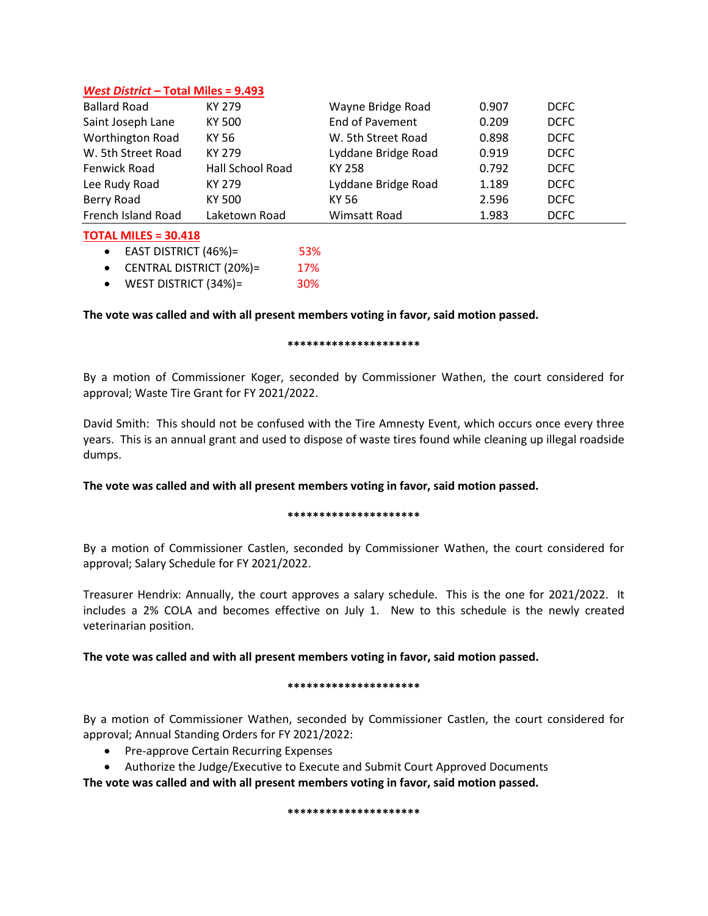# *West District* **– Total Miles = 9.493**

| <b>Ballard Road</b>     | KY 279           | Wayne Bridge Road   | 0.907 | <b>DCFC</b> |
|-------------------------|------------------|---------------------|-------|-------------|
| Saint Joseph Lane       | KY 500           | End of Pavement     | 0.209 | <b>DCFC</b> |
| <b>Worthington Road</b> | KY 56            | W. 5th Street Road  | 0.898 | <b>DCFC</b> |
| W. 5th Street Road      | KY 279           | Lyddane Bridge Road | 0.919 | DCFC        |
| Fenwick Road            | Hall School Road | KY 258              | 0.792 | <b>DCFC</b> |
| Lee Rudy Road           | KY 279           | Lyddane Bridge Road | 1.189 | DCFC        |
| Berry Road              | KY 500           | KY 56               | 2.596 | <b>DCFC</b> |
| French Island Road      | Laketown Road    | Wimsatt Road        | 1.983 | <b>DCFC</b> |

## **TOTAL MILES = 30.418**

 $\bullet$  EAST DISTRICT (46%)= 53%

- CENTRAL DISTRICT (20%)= 17%
- WEST DISTRICT (34%)= 30%

# **The vote was called and with all present members voting in favor, said motion passed.**

## **\*\*\*\*\*\*\*\*\*\*\*\*\*\*\*\*\*\*\*\*\***

By a motion of Commissioner Koger, seconded by Commissioner Wathen, the court considered for approval; Waste Tire Grant for FY 2021/2022.

David Smith: This should not be confused with the Tire Amnesty Event, which occurs once every three years. This is an annual grant and used to dispose of waste tires found while cleaning up illegal roadside dumps.

# **The vote was called and with all present members voting in favor, said motion passed.**

## **\*\*\*\*\*\*\*\*\*\*\*\*\*\*\*\*\*\*\*\*\***

By a motion of Commissioner Castlen, seconded by Commissioner Wathen, the court considered for approval; Salary Schedule for FY 2021/2022.

Treasurer Hendrix: Annually, the court approves a salary schedule. This is the one for 2021/2022. It includes a 2% COLA and becomes effective on July 1. New to this schedule is the newly created veterinarian position.

# **The vote was called and with all present members voting in favor, said motion passed.**

## **\*\*\*\*\*\*\*\*\*\*\*\*\*\*\*\*\*\*\*\*\***

By a motion of Commissioner Wathen, seconded by Commissioner Castlen, the court considered for approval; Annual Standing Orders for FY 2021/2022:

- Pre-approve Certain Recurring Expenses
- Authorize the Judge/Executive to Execute and Submit Court Approved Documents

**The vote was called and with all present members voting in favor, said motion passed.**

#### **\*\*\*\*\*\*\*\*\*\*\*\*\*\*\*\*\*\*\*\*\***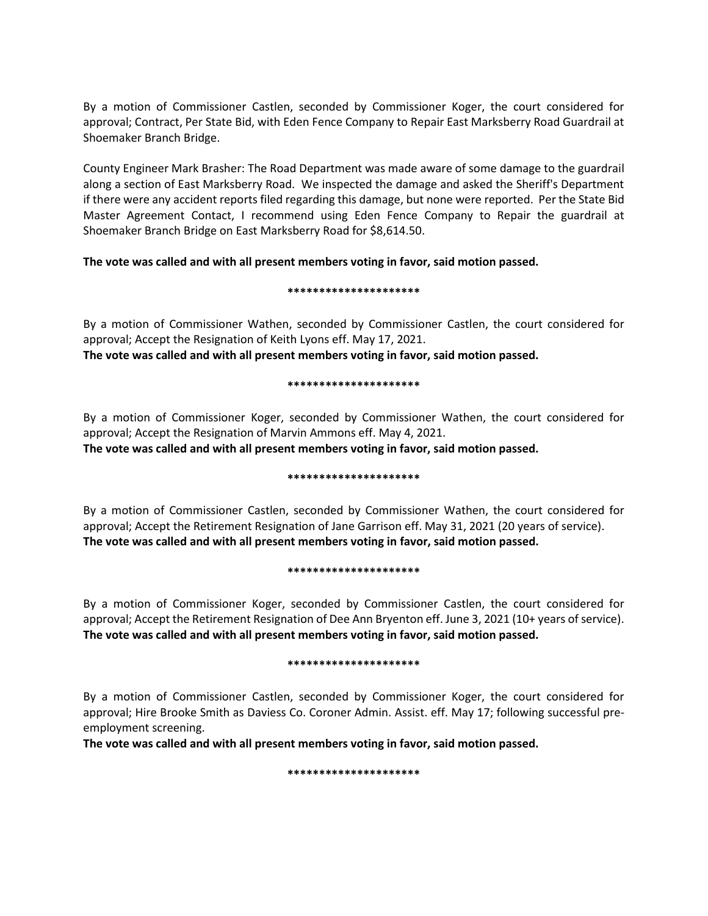By a motion of Commissioner Castlen, seconded by Commissioner Koger, the court considered for approval; Contract, Per State Bid, with Eden Fence Company to Repair East Marksberry Road Guardrail at Shoemaker Branch Bridge.

County Engineer Mark Brasher: The Road Department was made aware of some damage to the guardrail along a section of East Marksberry Road. We inspected the damage and asked the Sheriff's Department if there were any accident reports filed regarding this damage, but none were reported. Per the State Bid Master Agreement Contact, I recommend using Eden Fence Company to Repair the guardrail at Shoemaker Branch Bridge on East Marksberry Road for \$8,614.50.

**The vote was called and with all present members voting in favor, said motion passed.**

#### **\*\*\*\*\*\*\*\*\*\*\*\*\*\*\*\*\*\*\*\*\***

By a motion of Commissioner Wathen, seconded by Commissioner Castlen, the court considered for approval; Accept the Resignation of Keith Lyons eff. May 17, 2021.

**The vote was called and with all present members voting in favor, said motion passed.**

## **\*\*\*\*\*\*\*\*\*\*\*\*\*\*\*\*\*\*\*\*\***

By a motion of Commissioner Koger, seconded by Commissioner Wathen, the court considered for approval; Accept the Resignation of Marvin Ammons eff. May 4, 2021.

**The vote was called and with all present members voting in favor, said motion passed.**

## **\*\*\*\*\*\*\*\*\*\*\*\*\*\*\*\*\*\*\*\*\***

By a motion of Commissioner Castlen, seconded by Commissioner Wathen, the court considered for approval; Accept the Retirement Resignation of Jane Garrison eff. May 31, 2021 (20 years of service). **The vote was called and with all present members voting in favor, said motion passed.**

## **\*\*\*\*\*\*\*\*\*\*\*\*\*\*\*\*\*\*\*\*\***

By a motion of Commissioner Koger, seconded by Commissioner Castlen, the court considered for approval; Accept the Retirement Resignation of Dee Ann Bryenton eff. June 3, 2021 (10+ years of service). **The vote was called and with all present members voting in favor, said motion passed.**

## **\*\*\*\*\*\*\*\*\*\*\*\*\*\*\*\*\*\*\*\*\***

By a motion of Commissioner Castlen, seconded by Commissioner Koger, the court considered for approval; Hire Brooke Smith as Daviess Co. Coroner Admin. Assist. eff. May 17; following successful preemployment screening.

**The vote was called and with all present members voting in favor, said motion passed.**

## **\*\*\*\*\*\*\*\*\*\*\*\*\*\*\*\*\*\*\*\*\***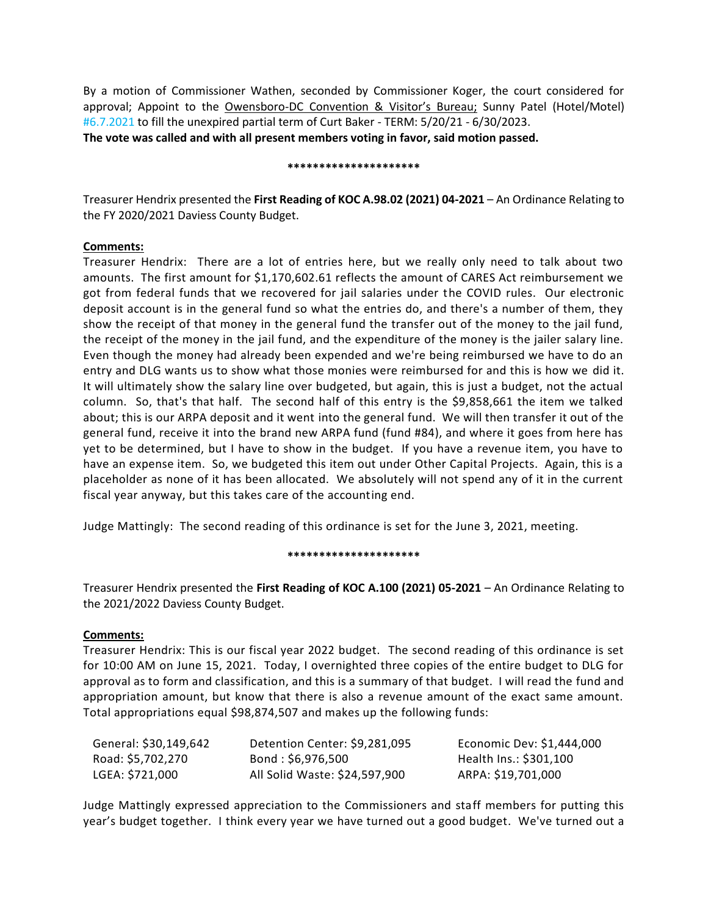By a motion of Commissioner Wathen, seconded by Commissioner Koger, the court considered for approval; Appoint to the Owensboro-DC Convention & Visitor's Bureau; Sunny Patel (Hotel/Motel) #6.7.2021 to fill the unexpired partial term of Curt Baker - TERM: 5/20/21 - 6/30/2023. **The vote was called and with all present members voting in favor, said motion passed.**

#### **\*\*\*\*\*\*\*\*\*\*\*\*\*\*\*\*\*\*\*\*\***

Treasurer Hendrix presented the **First Reading of KOC A.98.02 (2021) 04-2021** – An Ordinance Relating to the FY 2020/2021 Daviess County Budget.

## **Comments:**

Treasurer Hendrix: There are a lot of entries here, but we really only need to talk about two amounts. The first amount for \$1,170,602.61 reflects the amount of CARES Act reimbursement we got from federal funds that we recovered for jail salaries under the COVID rules. Our electronic deposit account is in the general fund so what the entries do, and there's a number of them, they show the receipt of that money in the general fund the transfer out of the money to the jail fund, the receipt of the money in the jail fund, and the expenditure of the money is the jailer salary line. Even though the money had already been expended and we're being reimbursed we have to do an entry and DLG wants us to show what those monies were reimbursed for and this is how we did it. It will ultimately show the salary line over budgeted, but again, this is just a budget, not the actual column. So, that's that half. The second half of this entry is the \$9,858,661 the item we talked about; this is our ARPA deposit and it went into the general fund. We will then transfer it out of the general fund, receive it into the brand new ARPA fund (fund #84), and where it goes from here has yet to be determined, but I have to show in the budget. If you have a revenue item, you have to have an expense item. So, we budgeted this item out under Other Capital Projects. Again, this is a placeholder as none of it has been allocated. We absolutely will not spend any of it in the current fiscal year anyway, but this takes care of the accounting end.

Judge Mattingly: The second reading of this ordinance is set for the June 3, 2021, meeting.

#### **\*\*\*\*\*\*\*\*\*\*\*\*\*\*\*\*\*\*\*\*\***

Treasurer Hendrix presented the **First Reading of KOC A.100 (2021) 05-2021** – An Ordinance Relating to the 2021/2022 Daviess County Budget.

## **Comments:**

Treasurer Hendrix: This is our fiscal year 2022 budget. The second reading of this ordinance is set for 10:00 AM on June 15, 2021. Today, I overnighted three copies of the entire budget to DLG for approval as to form and classification, and this is a summary of that budget. I will read the fund and appropriation amount, but know that there is also a revenue amount of the exact same amount. Total appropriations equal \$98,874,507 and makes up the following funds:

| General: \$30,149,642 | Detention Center: \$9,281,095 | Economic Dev: \$1,444,000 |
|-----------------------|-------------------------------|---------------------------|
| Road: \$5,702,270     | Bond: \$6,976,500             | Health Ins.: \$301,100    |
| LGEA: \$721,000       | All Solid Waste: \$24,597,900 | ARPA: \$19,701,000        |

Judge Mattingly expressed appreciation to the Commissioners and staff members for putting this year's budget together. I think every year we have turned out a good budget. We've turned out a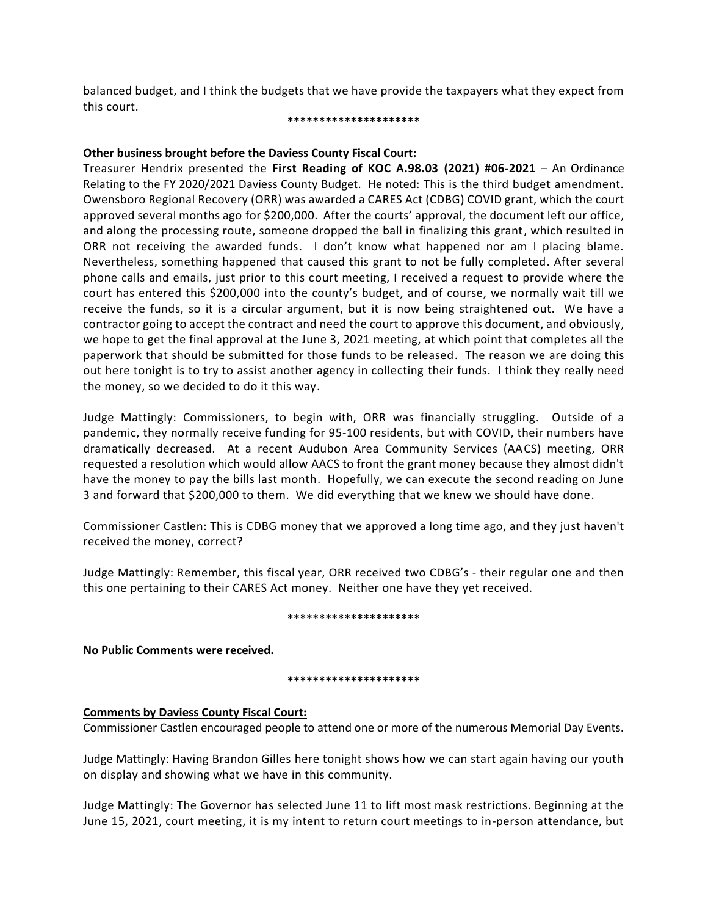balanced budget, and I think the budgets that we have provide the taxpayers what they expect from this court.

#### **\*\*\*\*\*\*\*\*\*\*\*\*\*\*\*\*\*\*\*\*\***

# **Other business brought before the Daviess County Fiscal Court:**

Treasurer Hendrix presented the **First Reading of KOC A.98.03 (2021) #06-2021** – An Ordinance Relating to the FY 2020/2021 Daviess County Budget. He noted: This is the third budget amendment. Owensboro Regional Recovery (ORR) was awarded a CARES Act (CDBG) COVID grant, which the court approved several months ago for \$200,000. After the courts' approval, the document left our office, and along the processing route, someone dropped the ball in finalizing this grant, which resulted in ORR not receiving the awarded funds. I don't know what happened nor am I placing blame. Nevertheless, something happened that caused this grant to not be fully completed. After several phone calls and emails, just prior to this court meeting, I received a request to provide where the court has entered this \$200,000 into the county's budget, and of course, we normally wait till we receive the funds, so it is a circular argument, but it is now being straightened out. We have a contractor going to accept the contract and need the court to approve this document, and obviously, we hope to get the final approval at the June 3, 2021 meeting, at which point that completes all the paperwork that should be submitted for those funds to be released. The reason we are doing this out here tonight is to try to assist another agency in collecting their funds. I think they really need the money, so we decided to do it this way.

Judge Mattingly: Commissioners, to begin with, ORR was financially struggling. Outside of a pandemic, they normally receive funding for 95-100 residents, but with COVID, their numbers have dramatically decreased. At a recent Audubon Area Community Services (AACS) meeting, ORR requested a resolution which would allow AACS to front the grant money because they almost didn't have the money to pay the bills last month. Hopefully, we can execute the second reading on June 3 and forward that \$200,000 to them. We did everything that we knew we should have done.

Commissioner Castlen: This is CDBG money that we approved a long time ago, and they just haven't received the money, correct?

Judge Mattingly: Remember, this fiscal year, ORR received two CDBG's - their regular one and then this one pertaining to their CARES Act money. Neither one have they yet received.

## **\*\*\*\*\*\*\*\*\*\*\*\*\*\*\*\*\*\*\*\*\***

**No Public Comments were received.**

## **\*\*\*\*\*\*\*\*\*\*\*\*\*\*\*\*\*\*\*\*\***

# **Comments by Daviess County Fiscal Court:**

Commissioner Castlen encouraged people to attend one or more of the numerous Memorial Day Events.

Judge Mattingly: Having Brandon Gilles here tonight shows how we can start again having our youth on display and showing what we have in this community.

Judge Mattingly: The Governor has selected June 11 to lift most mask restrictions. Beginning at the June 15, 2021, court meeting, it is my intent to return court meetings to in-person attendance, but